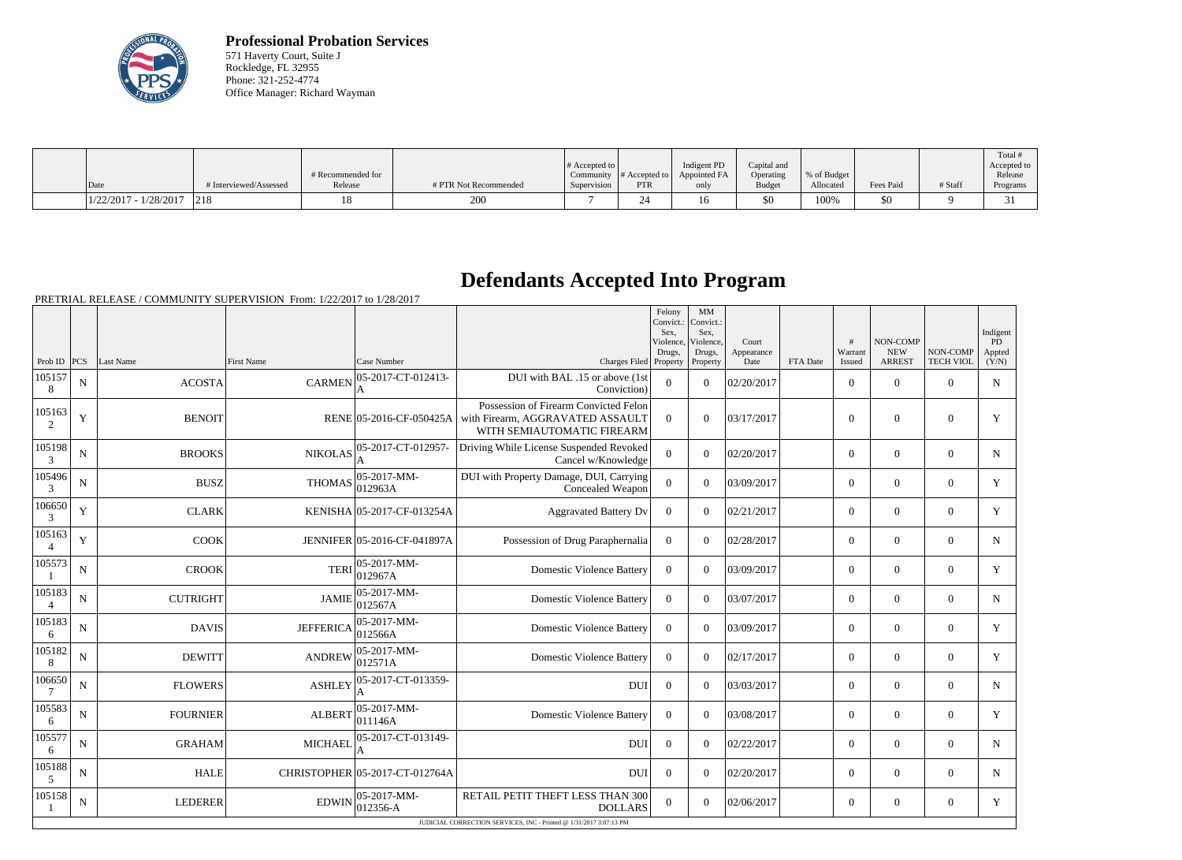

**Professional Probation Services** 571 Haverty Court, Suite J Rockledge, FL 32955 Phone: 321-252-4774 Office Manager: Richard Wayman

|                         |                        |                   |                       |                              |               |              |               |              |           |         | Total       |
|-------------------------|------------------------|-------------------|-----------------------|------------------------------|---------------|--------------|---------------|--------------|-----------|---------|-------------|
|                         |                        |                   |                       | $\#$ Accepted to $\parallel$ |               | Indigent PD  | Capital and   |              |           |         | Accepted to |
|                         |                        | # Recommended for |                       | Community                    | # Accepted to | Appointed FA | Operating     | \% of Budget |           |         | Release     |
| Date                    | # Interviewed/Assessed | Release           | # PTR Not Recommended | Supervision                  | <b>PTR</b>    | only         | <b>Budget</b> | Allocated    | Fees Paid | # Staff | Programs    |
| $1/22/2017 - 1/28/2017$ | 1218                   |                   | 200                   |                              |               | 16           | \$0           | 100%         | 50        |         |             |

## **Defendants Accepted Into Program**

PRETRIAL RELEASE / COMMUNITY SUPERVISION From: 1/22/2017 to 1/28/2017

|                 |             |                 |                   |                                |                                                                                                         | Felony<br>Convict.:<br>Sex.<br>Violence,<br>Drugs, | MM<br>Convict.:<br>Sex.<br>Violence,<br>Drugs, | Court<br>Appearance |          | #<br>Warrant   | NON-COMP<br><b>NEW</b> | NON-COMP         | Indigent<br>PD<br>Appted |
|-----------------|-------------|-----------------|-------------------|--------------------------------|---------------------------------------------------------------------------------------------------------|----------------------------------------------------|------------------------------------------------|---------------------|----------|----------------|------------------------|------------------|--------------------------|
| Prob ID $ PCS $ |             | Last Name       | <b>First Name</b> | Case Number                    | Charges Filed Property                                                                                  |                                                    | Property                                       | Date                | FTA Date | Issued         | <b>ARREST</b>          | <b>TECH VIOL</b> | (Y/N)                    |
| 105157<br>8     | $\mathbf N$ | <b>ACOSTA</b>   | <b>CARMEN</b>     | 05-2017-CT-012413-<br>A        | DUI with BAL .15 or above (1st<br>Conviction)                                                           | $\overline{0}$                                     | $\Omega$                                       | 02/20/2017          |          | $\overline{0}$ | $\overline{0}$         | $\overline{0}$   | $\mathbf N$              |
| 105163<br>2     | $\mathbf Y$ | <b>BENOIT</b>   |                   | RENE 05-2016-CF-050425A        | Possession of Firearm Convicted Felon<br>with Firearm, AGGRAVATED ASSAULT<br>WITH SEMIAUTOMATIC FIREARM | $\Omega$                                           | $\Omega$                                       | 03/17/2017          |          | $\Omega$       | $\theta$               | $\theta$         | Y                        |
| 105198<br>3     | N           | <b>BROOKS</b>   | <b>NIKOLAS</b>    | 05-2017-CT-012957-             | Driving While License Suspended Revoked<br>Cancel w/Knowledge                                           | $\overline{0}$                                     | $\overline{0}$                                 | 02/20/2017          |          | $\overline{0}$ | $\overline{0}$         | $\overline{0}$   | $\mathbf N$              |
| 105496<br>3     | $\mathbf N$ | <b>BUSZ</b>     | <b>THOMAS</b>     | $05-2017-MM$ -<br>012963A      | DUI with Property Damage, DUI, Carrying<br>Concealed Weapon                                             | $\overline{0}$                                     | $\Omega$                                       | 03/09/2017          |          | $\Omega$       | $\Omega$               | $\theta$         | Y                        |
| 106650<br>3     | Y           | <b>CLARK</b>    |                   | KENISHA 05-2017-CF-013254A     | <b>Aggravated Battery Dv</b>                                                                            | $\boldsymbol{0}$                                   | $\Omega$                                       | 02/21/2017          |          | $\overline{0}$ | $\theta$               | $\theta$         | Y                        |
| 105163          | Y           | <b>COOK</b>     |                   | JENNIFER 05-2016-CF-041897A    | Possession of Drug Paraphernalia                                                                        | $\Omega$                                           | $\Omega$                                       | 02/28/2017          |          | $\Omega$       | $\theta$               | $\theta$         | N                        |
| 105573          | ${\bf N}$   | <b>CROOK</b>    | <b>TERI</b>       | $05-2017-MM$ -<br>012967A      | <b>Domestic Violence Battery</b>                                                                        | $\boldsymbol{0}$                                   | $\Omega$                                       | 03/09/2017          |          | $\overline{0}$ | $\Omega$               | $\overline{0}$   | Y                        |
| 105183          | $\mathbf N$ | <b>CUTRIGHT</b> | <b>JAMIE</b>      | 05-2017-MM-<br>012567A         | <b>Domestic Violence Battery</b>                                                                        | $\Omega$                                           | $\Omega$                                       | 03/07/2017          |          | $\overline{0}$ | $\mathbf{0}$           | $\overline{0}$   | N                        |
| 105183<br>6     | $\mathbf N$ | <b>DAVIS</b>    | <b>JEFFERICA</b>  | 05-2017-MM-<br>012566A         | <b>Domestic Violence Battery</b>                                                                        | $\Omega$                                           | $\Omega$                                       | 03/09/2017          |          | $\Omega$       | $\theta$               | $\theta$         | Y                        |
| 105182<br>8     | N           | <b>DEWITT</b>   | <b>ANDREW</b>     | $ 05-2017-MM-$<br>012571A      | <b>Domestic Violence Battery</b>                                                                        | $\mathbf{0}$                                       | $\Omega$                                       | 02/17/2017          |          | $\overline{0}$ | $\theta$               | $\overline{0}$   | Y                        |
| 106650          | N           | <b>FLOWERS</b>  | <b>ASHLEY</b>     | 05-2017-CT-013359-             | DUI                                                                                                     | $\Omega$                                           | $\Omega$                                       | 03/03/2017          |          | $\Omega$       | $\Omega$               | $\Omega$         | $\mathbf N$              |
| 105583<br>6     | $\mathbf N$ | <b>FOURNIER</b> | <b>ALBERT</b>     | $05-2017-MM$ -<br>011146A      | <b>Domestic Violence Battery</b>                                                                        | $\mathbf{0}$                                       | $\overline{0}$                                 | 03/08/2017          |          | $\overline{0}$ | $\theta$               | $\overline{0}$   | Y                        |
| 105577<br>6     | N           | <b>GRAHAM</b>   | <b>MICHAEL</b>    | 05-2017-CT-013149-             | <b>DUI</b>                                                                                              | $\Omega$                                           | $\Omega$                                       | 02/22/2017          |          | $\overline{0}$ | $\theta$               | $\overline{0}$   | N                        |
| 105188<br>5     | N           | <b>HALE</b>     |                   | CHRISTOPHER 05-2017-CT-012764A | <b>DUI</b>                                                                                              | $\Omega$                                           | $\Omega$                                       | 02/20/2017          |          | $\overline{0}$ | $\theta$               | $\theta$         | $\mathbf N$              |
| 105158          | $\mathbf N$ | <b>LEDERER</b>  | <b>EDWIN</b>      | $05-2017-MM$ -<br>$012356 - A$ | RETAIL PETIT THEFT LESS THAN 300<br><b>DOLLARS</b>                                                      | $\overline{0}$                                     | $\Omega$                                       | 02/06/2017          |          | $\overline{0}$ | $\mathbf{0}$           | $\overline{0}$   | Y                        |
|                 |             |                 |                   |                                | JUDICIAL CORRECTION SERVICES, INC - Printed @ 1/31/2017 3:07:13 PM                                      |                                                    |                                                |                     |          |                |                        |                  |                          |